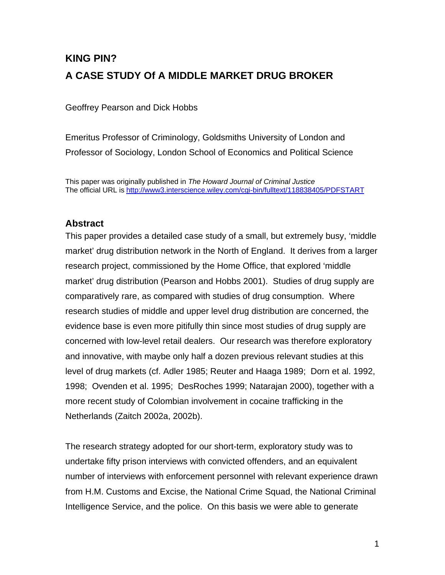# **KING PIN? A CASE STUDY Of A MIDDLE MARKET DRUG BROKER**

#### Geoffrey Pearson and Dick Hobbs

Emeritus Professor of Criminology, Goldsmiths University of London and Professor of Sociology, London School of Economics and Political Science

This paper was originally published in *The Howard Journal of Criminal Justice* The official URL is<http://www3.interscience.wiley.com/cgi-bin/fulltext/118838405/PDFSTART>

## **Abstract**

This paper provides a detailed case study of a small, but extremely busy, 'middle market' drug distribution network in the North of England. It derives from a larger research project, commissioned by the Home Office, that explored 'middle market' drug distribution (Pearson and Hobbs 2001). Studies of drug supply are comparatively rare, as compared with studies of drug consumption. Where research studies of middle and upper level drug distribution are concerned, the evidence base is even more pitifully thin since most studies of drug supply are concerned with low-level retail dealers. Our research was therefore exploratory and innovative, with maybe only half a dozen previous relevant studies at this level of drug markets (cf. Adler 1985; Reuter and Haaga 1989; Dorn et al. 1992, 1998; Ovenden et al. 1995; DesRoches 1999; Natarajan 2000), together with a more recent study of Colombian involvement in cocaine trafficking in the Netherlands (Zaitch 2002a, 2002b).

The research strategy adopted for our short-term, exploratory study was to undertake fifty prison interviews with convicted offenders, and an equivalent number of interviews with enforcement personnel with relevant experience drawn from H.M. Customs and Excise, the National Crime Squad, the National Criminal Intelligence Service, and the police. On this basis we were able to generate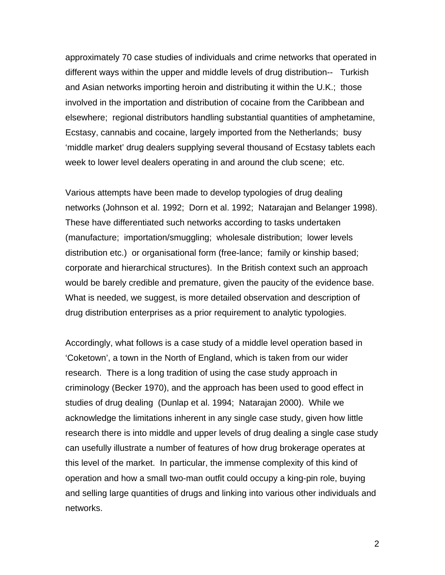approximately 70 case studies of individuals and crime networks that operated in different ways within the upper and middle levels of drug distribution-- Turkish and Asian networks importing heroin and distributing it within the U.K.; those involved in the importation and distribution of cocaine from the Caribbean and elsewhere; regional distributors handling substantial quantities of amphetamine, Ecstasy, cannabis and cocaine, largely imported from the Netherlands; busy 'middle market' drug dealers supplying several thousand of Ecstasy tablets each week to lower level dealers operating in and around the club scene; etc.

Various attempts have been made to develop typologies of drug dealing networks (Johnson et al. 1992; Dorn et al. 1992; Natarajan and Belanger 1998). These have differentiated such networks according to tasks undertaken (manufacture; importation/smuggling; wholesale distribution; lower levels distribution etc.) or organisational form (free-lance; family or kinship based; corporate and hierarchical structures). In the British context such an approach would be barely credible and premature, given the paucity of the evidence base. What is needed, we suggest, is more detailed observation and description of drug distribution enterprises as a prior requirement to analytic typologies.

Accordingly, what follows is a case study of a middle level operation based in 'Coketown', a town in the North of England, which is taken from our wider research. There is a long tradition of using the case study approach in criminology (Becker 1970), and the approach has been used to good effect in studies of drug dealing (Dunlap et al. 1994; Natarajan 2000). While we acknowledge the limitations inherent in any single case study, given how little research there is into middle and upper levels of drug dealing a single case study can usefully illustrate a number of features of how drug brokerage operates at this level of the market. In particular, the immense complexity of this kind of operation and how a small two-man outfit could occupy a king-pin role, buying and selling large quantities of drugs and linking into various other individuals and networks.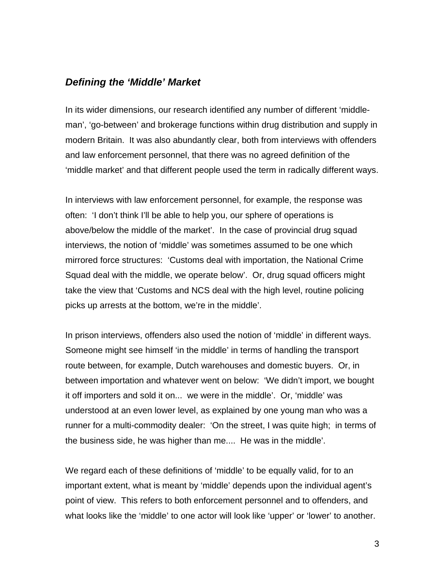## *Defining the 'Middle' Market*

In its wider dimensions, our research identified any number of different 'middleman', 'go-between' and brokerage functions within drug distribution and supply in modern Britain. It was also abundantly clear, both from interviews with offenders and law enforcement personnel, that there was no agreed definition of the 'middle market' and that different people used the term in radically different ways.

In interviews with law enforcement personnel, for example, the response was often: 'I don't think I'll be able to help you, our sphere of operations is above/below the middle of the market'. In the case of provincial drug squad interviews, the notion of 'middle' was sometimes assumed to be one which mirrored force structures: 'Customs deal with importation, the National Crime Squad deal with the middle, we operate below'. Or, drug squad officers might take the view that 'Customs and NCS deal with the high level, routine policing picks up arrests at the bottom, we're in the middle'.

In prison interviews, offenders also used the notion of 'middle' in different ways. Someone might see himself 'in the middle' in terms of handling the transport route between, for example, Dutch warehouses and domestic buyers. Or, in between importation and whatever went on below: 'We didn't import, we bought it off importers and sold it on... we were in the middle'. Or, 'middle' was understood at an even lower level, as explained by one young man who was a runner for a multi-commodity dealer: 'On the street, I was quite high; in terms of the business side, he was higher than me.... He was in the middle'.

We regard each of these definitions of 'middle' to be equally valid, for to an important extent, what is meant by 'middle' depends upon the individual agent's point of view. This refers to both enforcement personnel and to offenders, and what looks like the 'middle' to one actor will look like 'upper' or 'lower' to another.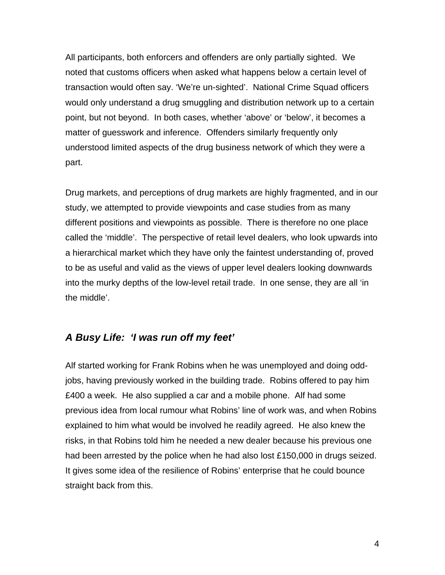All participants, both enforcers and offenders are only partially sighted. We noted that customs officers when asked what happens below a certain level of transaction would often say. 'We're un-sighted'. National Crime Squad officers would only understand a drug smuggling and distribution network up to a certain point, but not beyond. In both cases, whether 'above' or 'below', it becomes a matter of guesswork and inference. Offenders similarly frequently only understood limited aspects of the drug business network of which they were a part.

Drug markets, and perceptions of drug markets are highly fragmented, and in our study, we attempted to provide viewpoints and case studies from as many different positions and viewpoints as possible. There is therefore no one place called the 'middle'. The perspective of retail level dealers, who look upwards into a hierarchical market which they have only the faintest understanding of, proved to be as useful and valid as the views of upper level dealers looking downwards into the murky depths of the low-level retail trade. In one sense, they are all 'in the middle'.

# *A Busy Life: 'I was run off my feet'*

Alf started working for Frank Robins when he was unemployed and doing oddjobs, having previously worked in the building trade. Robins offered to pay him £400 a week. He also supplied a car and a mobile phone. Alf had some previous idea from local rumour what Robins' line of work was, and when Robins explained to him what would be involved he readily agreed. He also knew the risks, in that Robins told him he needed a new dealer because his previous one had been arrested by the police when he had also lost £150,000 in drugs seized. It gives some idea of the resilience of Robins' enterprise that he could bounce straight back from this.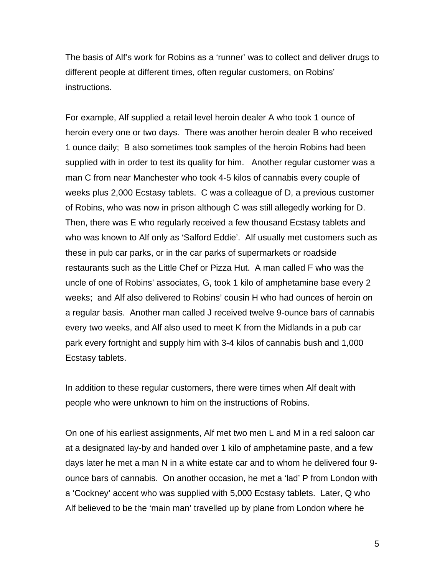The basis of Alf's work for Robins as a 'runner' was to collect and deliver drugs to different people at different times, often regular customers, on Robins' instructions.

For example, Alf supplied a retail level heroin dealer A who took 1 ounce of heroin every one or two days. There was another heroin dealer B who received 1 ounce daily; B also sometimes took samples of the heroin Robins had been supplied with in order to test its quality for him. Another regular customer was a man C from near Manchester who took 4-5 kilos of cannabis every couple of weeks plus 2,000 Ecstasy tablets. C was a colleague of D, a previous customer of Robins, who was now in prison although C was still allegedly working for D. Then, there was E who regularly received a few thousand Ecstasy tablets and who was known to Alf only as 'Salford Eddie'. Alf usually met customers such as these in pub car parks, or in the car parks of supermarkets or roadside restaurants such as the Little Chef or Pizza Hut. A man called F who was the uncle of one of Robins' associates, G, took 1 kilo of amphetamine base every 2 weeks; and Alf also delivered to Robins' cousin H who had ounces of heroin on a regular basis. Another man called J received twelve 9-ounce bars of cannabis every two weeks, and Alf also used to meet K from the Midlands in a pub car park every fortnight and supply him with 3-4 kilos of cannabis bush and 1,000 Ecstasy tablets.

In addition to these regular customers, there were times when Alf dealt with people who were unknown to him on the instructions of Robins.

On one of his earliest assignments, Alf met two men L and M in a red saloon car at a designated lay-by and handed over 1 kilo of amphetamine paste, and a few days later he met a man N in a white estate car and to whom he delivered four 9 ounce bars of cannabis. On another occasion, he met a 'lad' P from London with a 'Cockney' accent who was supplied with 5,000 Ecstasy tablets. Later, Q who Alf believed to be the 'main man' travelled up by plane from London where he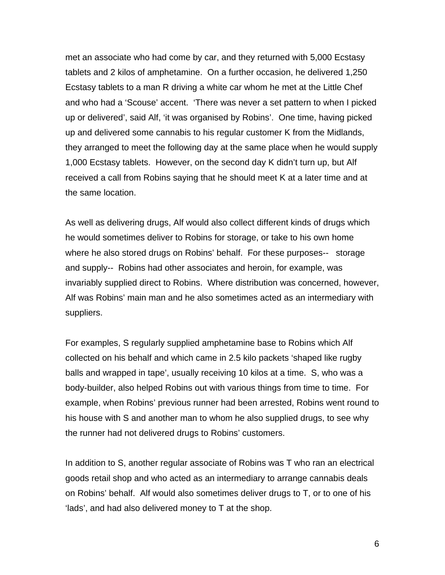met an associate who had come by car, and they returned with 5,000 Ecstasy tablets and 2 kilos of amphetamine. On a further occasion, he delivered 1,250 Ecstasy tablets to a man R driving a white car whom he met at the Little Chef and who had a 'Scouse' accent. 'There was never a set pattern to when I picked up or delivered', said Alf, 'it was organised by Robins'. One time, having picked up and delivered some cannabis to his regular customer K from the Midlands, they arranged to meet the following day at the same place when he would supply 1,000 Ecstasy tablets. However, on the second day K didn't turn up, but Alf received a call from Robins saying that he should meet K at a later time and at the same location.

As well as delivering drugs, Alf would also collect different kinds of drugs which he would sometimes deliver to Robins for storage, or take to his own home where he also stored drugs on Robins' behalf. For these purposes-- storage and supply-- Robins had other associates and heroin, for example, was invariably supplied direct to Robins. Where distribution was concerned, however, Alf was Robins' main man and he also sometimes acted as an intermediary with suppliers.

For examples, S regularly supplied amphetamine base to Robins which Alf collected on his behalf and which came in 2.5 kilo packets 'shaped like rugby balls and wrapped in tape', usually receiving 10 kilos at a time. S, who was a body-builder, also helped Robins out with various things from time to time. For example, when Robins' previous runner had been arrested, Robins went round to his house with S and another man to whom he also supplied drugs, to see why the runner had not delivered drugs to Robins' customers.

In addition to S, another regular associate of Robins was T who ran an electrical goods retail shop and who acted as an intermediary to arrange cannabis deals on Robins' behalf. Alf would also sometimes deliver drugs to T, or to one of his 'lads', and had also delivered money to T at the shop.

6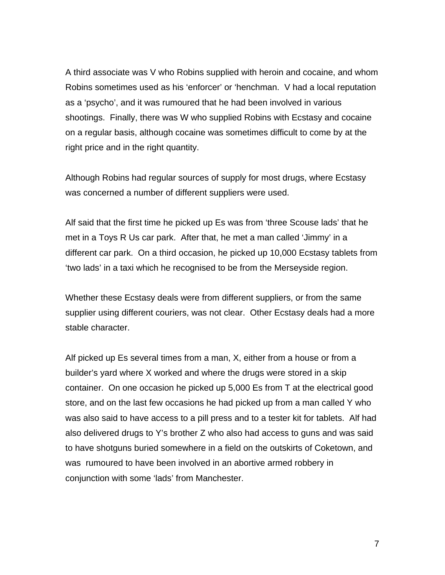A third associate was V who Robins supplied with heroin and cocaine, and whom Robins sometimes used as his 'enforcer' or 'henchman. V had a local reputation as a 'psycho', and it was rumoured that he had been involved in various shootings. Finally, there was W who supplied Robins with Ecstasy and cocaine on a regular basis, although cocaine was sometimes difficult to come by at the right price and in the right quantity.

Although Robins had regular sources of supply for most drugs, where Ecstasy was concerned a number of different suppliers were used.

Alf said that the first time he picked up Es was from 'three Scouse lads' that he met in a Toys R Us car park. After that, he met a man called 'Jimmy' in a different car park. On a third occasion, he picked up 10,000 Ecstasy tablets from 'two lads' in a taxi which he recognised to be from the Merseyside region.

Whether these Ecstasy deals were from different suppliers, or from the same supplier using different couriers, was not clear. Other Ecstasy deals had a more stable character.

Alf picked up Es several times from a man, X, either from a house or from a builder's yard where X worked and where the drugs were stored in a skip container. On one occasion he picked up 5,000 Es from T at the electrical good store, and on the last few occasions he had picked up from a man called Y who was also said to have access to a pill press and to a tester kit for tablets. Alf had also delivered drugs to Y's brother Z who also had access to guns and was said to have shotguns buried somewhere in a field on the outskirts of Coketown, and was rumoured to have been involved in an abortive armed robbery in conjunction with some 'lads' from Manchester.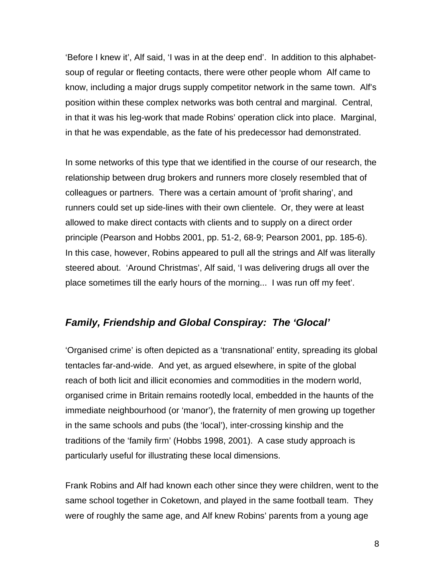'Before I knew it', Alf said, 'I was in at the deep end'. In addition to this alphabetsoup of regular or fleeting contacts, there were other people whom Alf came to know, including a major drugs supply competitor network in the same town. Alf's position within these complex networks was both central and marginal. Central, in that it was his leg-work that made Robins' operation click into place. Marginal, in that he was expendable, as the fate of his predecessor had demonstrated.

In some networks of this type that we identified in the course of our research, the relationship between drug brokers and runners more closely resembled that of colleagues or partners. There was a certain amount of 'profit sharing', and runners could set up side-lines with their own clientele. Or, they were at least allowed to make direct contacts with clients and to supply on a direct order principle (Pearson and Hobbs 2001, pp. 51-2, 68-9; Pearson 2001, pp. 185-6). In this case, however, Robins appeared to pull all the strings and Alf was literally steered about. 'Around Christmas', Alf said, 'I was delivering drugs all over the place sometimes till the early hours of the morning... I was run off my feet'.

# *Family, Friendship and Global Conspiray: The 'Glocal'*

'Organised crime' is often depicted as a 'transnational' entity, spreading its global tentacles far-and-wide. And yet, as argued elsewhere, in spite of the global reach of both licit and illicit economies and commodities in the modern world, organised crime in Britain remains rootedly local, embedded in the haunts of the immediate neighbourhood (or 'manor'), the fraternity of men growing up together in the same schools and pubs (the 'local'), inter-crossing kinship and the traditions of the 'family firm' (Hobbs 1998, 2001). A case study approach is particularly useful for illustrating these local dimensions.

Frank Robins and Alf had known each other since they were children, went to the same school together in Coketown, and played in the same football team. They were of roughly the same age, and Alf knew Robins' parents from a young age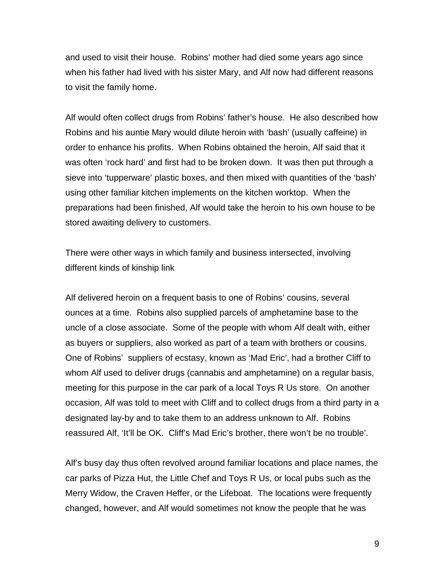and used to visit their house. Robins' mother had died some years ago since when his father had lived with his sister Mary, and Alf now had different reasons to visit the family home.

Alf would often collect drugs from Robins' father's house. He also described how Robins and his auntie Mary would dilute heroin with 'bash' (usually caffeine) in order to enhance his profits. When Robins obtained the heroin, Alf said that it was often 'rock hard' and first had to be broken down. It was then put through a sieve into 'tupperware' plastic boxes, and then mixed with quantities of the 'bash' using other familiar kitchen implements on the kitchen worktop. When the preparations had been finished, Alf would take the heroin to his own house to be stored awaiting delivery to customers.

There were other ways in which family and business intersected, involving different kinds of kinship link

Alf delivered heroin on a frequent basis to one of Robins' cousins, several ounces at a time. Robins also supplied parcels of amphetamine base to the uncle of a close associate. Some of the people with whom Alf dealt with, either as buyers or suppliers, also worked as part of a team with brothers or cousins. One of Robins' suppliers of ecstasy, known as 'Mad Eric', had a brother Cliff to whom Alf used to deliver drugs (cannabis and amphetamine) on a regular basis, meeting for this purpose in the car park of a local Toys R Us store. On another occasion, Alf was told to meet with Cliff and to collect drugs from a third party in a designated lay-by and to take them to an address unknown to Alf. Robins reassured Alf, 'It'll be OK. Cliff's Mad Eric's brother, there won't be no trouble'.

Alf's busy day thus often revolved around familiar locations and place names, the car parks of Pizza Hut, the Little Chef and Toys R Us, or local pubs such as the Merry Widow, the Craven Heffer, or the Lifeboat. The locations were frequently changed, however, and Alf would sometimes not know the people that he was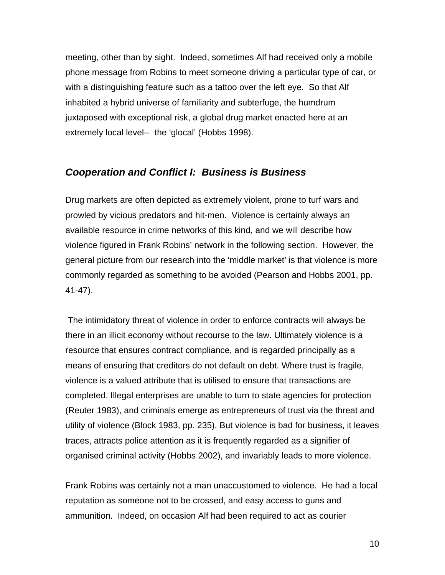meeting, other than by sight. Indeed, sometimes Alf had received only a mobile phone message from Robins to meet someone driving a particular type of car, or with a distinguishing feature such as a tattoo over the left eye. So that Alf inhabited a hybrid universe of familiarity and subterfuge, the humdrum juxtaposed with exceptional risk, a global drug market enacted here at an extremely local level-- the 'glocal' (Hobbs 1998).

#### *Cooperation and Conflict I: Business is Business*

Drug markets are often depicted as extremely violent, prone to turf wars and prowled by vicious predators and hit-men. Violence is certainly always an available resource in crime networks of this kind, and we will describe how violence figured in Frank Robins' network in the following section. However, the general picture from our research into the 'middle market' is that violence is more commonly regarded as something to be avoided (Pearson and Hobbs 2001, pp. 41-47).

 The intimidatory threat of violence in order to enforce contracts will always be there in an illicit economy without recourse to the law. Ultimately violence is a resource that ensures contract compliance, and is regarded principally as a means of ensuring that creditors do not default on debt. Where trust is fragile, violence is a valued attribute that is utilised to ensure that transactions are completed. Illegal enterprises are unable to turn to state agencies for protection (Reuter 1983), and criminals emerge as entrepreneurs of trust via the threat and utility of violence (Block 1983, pp. 235). But violence is bad for business, it leaves traces, attracts police attention as it is frequently regarded as a signifier of organised criminal activity (Hobbs 2002), and invariably leads to more violence.

Frank Robins was certainly not a man unaccustomed to violence. He had a local reputation as someone not to be crossed, and easy access to guns and ammunition. Indeed, on occasion Alf had been required to act as courier

10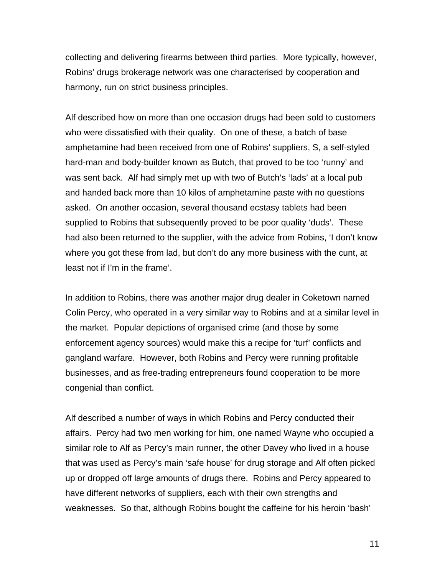collecting and delivering firearms between third parties. More typically, however, Robins' drugs brokerage network was one characterised by cooperation and harmony, run on strict business principles.

Alf described how on more than one occasion drugs had been sold to customers who were dissatisfied with their quality. On one of these, a batch of base amphetamine had been received from one of Robins' suppliers, S, a self-styled hard-man and body-builder known as Butch, that proved to be too 'runny' and was sent back. Alf had simply met up with two of Butch's 'lads' at a local pub and handed back more than 10 kilos of amphetamine paste with no questions asked. On another occasion, several thousand ecstasy tablets had been supplied to Robins that subsequently proved to be poor quality 'duds'. These had also been returned to the supplier, with the advice from Robins, 'I don't know where you got these from lad, but don't do any more business with the cunt, at least not if I'm in the frame'.

In addition to Robins, there was another major drug dealer in Coketown named Colin Percy, who operated in a very similar way to Robins and at a similar level in the market. Popular depictions of organised crime (and those by some enforcement agency sources) would make this a recipe for 'turf' conflicts and gangland warfare. However, both Robins and Percy were running profitable businesses, and as free-trading entrepreneurs found cooperation to be more congenial than conflict.

Alf described a number of ways in which Robins and Percy conducted their affairs. Percy had two men working for him, one named Wayne who occupied a similar role to Alf as Percy's main runner, the other Davey who lived in a house that was used as Percy's main 'safe house' for drug storage and Alf often picked up or dropped off large amounts of drugs there. Robins and Percy appeared to have different networks of suppliers, each with their own strengths and weaknesses. So that, although Robins bought the caffeine for his heroin 'bash'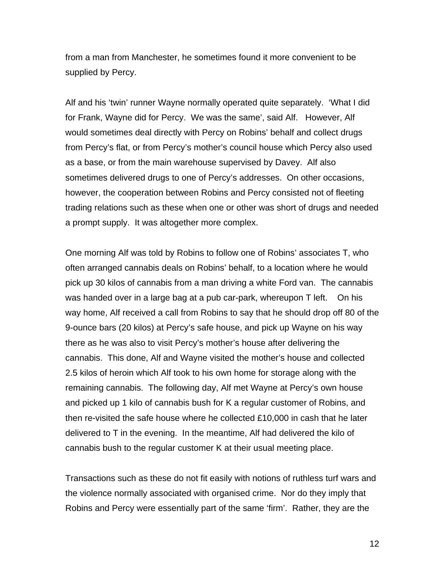from a man from Manchester, he sometimes found it more convenient to be supplied by Percy.

Alf and his 'twin' runner Wayne normally operated quite separately. 'What I did for Frank, Wayne did for Percy. We was the same', said Alf. However, Alf would sometimes deal directly with Percy on Robins' behalf and collect drugs from Percy's flat, or from Percy's mother's council house which Percy also used as a base, or from the main warehouse supervised by Davey. Alf also sometimes delivered drugs to one of Percy's addresses. On other occasions, however, the cooperation between Robins and Percy consisted not of fleeting trading relations such as these when one or other was short of drugs and needed a prompt supply. It was altogether more complex.

One morning Alf was told by Robins to follow one of Robins' associates T, who often arranged cannabis deals on Robins' behalf, to a location where he would pick up 30 kilos of cannabis from a man driving a white Ford van. The cannabis was handed over in a large bag at a pub car-park, whereupon T left. On his way home, Alf received a call from Robins to say that he should drop off 80 of the 9-ounce bars (20 kilos) at Percy's safe house, and pick up Wayne on his way there as he was also to visit Percy's mother's house after delivering the cannabis. This done, Alf and Wayne visited the mother's house and collected 2.5 kilos of heroin which Alf took to his own home for storage along with the remaining cannabis. The following day, Alf met Wayne at Percy's own house and picked up 1 kilo of cannabis bush for K a regular customer of Robins, and then re-visited the safe house where he collected £10,000 in cash that he later delivered to T in the evening. In the meantime, Alf had delivered the kilo of cannabis bush to the regular customer K at their usual meeting place.

Transactions such as these do not fit easily with notions of ruthless turf wars and the violence normally associated with organised crime. Nor do they imply that Robins and Percy were essentially part of the same 'firm'. Rather, they are the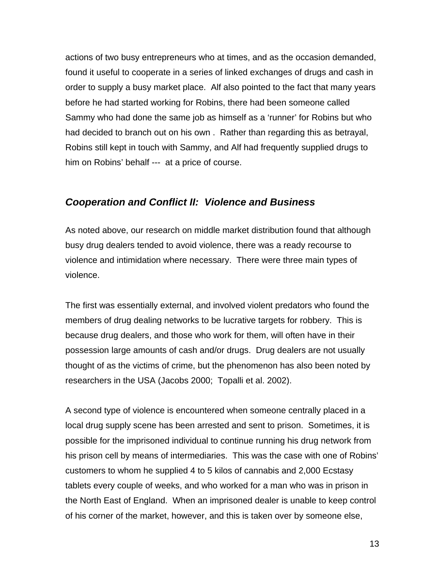actions of two busy entrepreneurs who at times, and as the occasion demanded, found it useful to cooperate in a series of linked exchanges of drugs and cash in order to supply a busy market place. Alf also pointed to the fact that many years before he had started working for Robins, there had been someone called Sammy who had done the same job as himself as a 'runner' for Robins but who had decided to branch out on his own . Rather than regarding this as betrayal, Robins still kept in touch with Sammy, and Alf had frequently supplied drugs to him on Robins' behalf --- at a price of course.

## *Cooperation and Conflict II: Violence and Business*

As noted above, our research on middle market distribution found that although busy drug dealers tended to avoid violence, there was a ready recourse to violence and intimidation where necessary. There were three main types of violence.

The first was essentially external, and involved violent predators who found the members of drug dealing networks to be lucrative targets for robbery. This is because drug dealers, and those who work for them, will often have in their possession large amounts of cash and/or drugs. Drug dealers are not usually thought of as the victims of crime, but the phenomenon has also been noted by researchers in the USA (Jacobs 2000; Topalli et al. 2002).

A second type of violence is encountered when someone centrally placed in a local drug supply scene has been arrested and sent to prison. Sometimes, it is possible for the imprisoned individual to continue running his drug network from his prison cell by means of intermediaries. This was the case with one of Robins' customers to whom he supplied 4 to 5 kilos of cannabis and 2,000 Ecstasy tablets every couple of weeks, and who worked for a man who was in prison in the North East of England. When an imprisoned dealer is unable to keep control of his corner of the market, however, and this is taken over by someone else,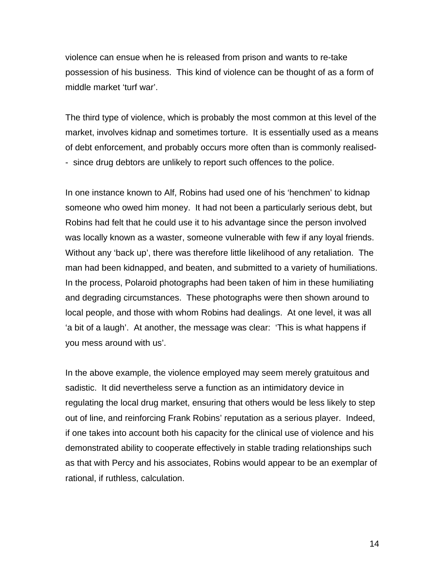violence can ensue when he is released from prison and wants to re-take possession of his business. This kind of violence can be thought of as a form of middle market 'turf war'.

The third type of violence, which is probably the most common at this level of the market, involves kidnap and sometimes torture. It is essentially used as a means of debt enforcement, and probably occurs more often than is commonly realised- - since drug debtors are unlikely to report such offences to the police.

In one instance known to Alf, Robins had used one of his 'henchmen' to kidnap someone who owed him money. It had not been a particularly serious debt, but Robins had felt that he could use it to his advantage since the person involved was locally known as a waster, someone vulnerable with few if any loyal friends. Without any 'back up', there was therefore little likelihood of any retaliation. The man had been kidnapped, and beaten, and submitted to a variety of humiliations. In the process, Polaroid photographs had been taken of him in these humiliating and degrading circumstances. These photographs were then shown around to local people, and those with whom Robins had dealings. At one level, it was all 'a bit of a laugh'. At another, the message was clear: 'This is what happens if you mess around with us'.

In the above example, the violence employed may seem merely gratuitous and sadistic. It did nevertheless serve a function as an intimidatory device in regulating the local drug market, ensuring that others would be less likely to step out of line, and reinforcing Frank Robins' reputation as a serious player. Indeed, if one takes into account both his capacity for the clinical use of violence and his demonstrated ability to cooperate effectively in stable trading relationships such as that with Percy and his associates, Robins would appear to be an exemplar of rational, if ruthless, calculation.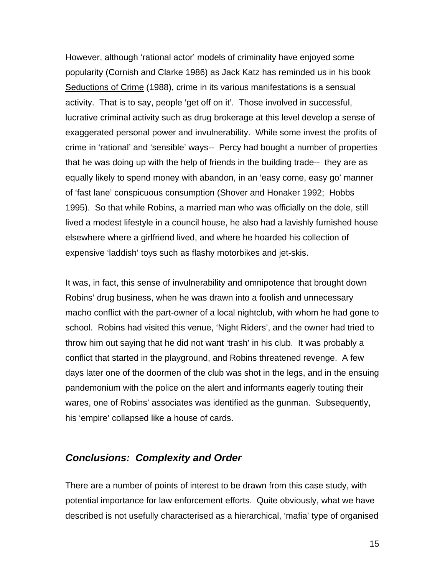However, although 'rational actor' models of criminality have enjoyed some popularity (Cornish and Clarke 1986) as Jack Katz has reminded us in his book Seductions of Crime (1988), crime in its various manifestations is a sensual activity. That is to say, people 'get off on it'. Those involved in successful, lucrative criminal activity such as drug brokerage at this level develop a sense of exaggerated personal power and invulnerability. While some invest the profits of crime in 'rational' and 'sensible' ways-- Percy had bought a number of properties that he was doing up with the help of friends in the building trade-- they are as equally likely to spend money with abandon, in an 'easy come, easy go' manner of 'fast lane' conspicuous consumption (Shover and Honaker 1992; Hobbs 1995). So that while Robins, a married man who was officially on the dole, still lived a modest lifestyle in a council house, he also had a lavishly furnished house elsewhere where a girlfriend lived, and where he hoarded his collection of expensive 'laddish' toys such as flashy motorbikes and jet-skis.

It was, in fact, this sense of invulnerability and omnipotence that brought down Robins' drug business, when he was drawn into a foolish and unnecessary macho conflict with the part-owner of a local nightclub, with whom he had gone to school. Robins had visited this venue, 'Night Riders', and the owner had tried to throw him out saying that he did not want 'trash' in his club. It was probably a conflict that started in the playground, and Robins threatened revenge. A few days later one of the doormen of the club was shot in the legs, and in the ensuing pandemonium with the police on the alert and informants eagerly touting their wares, one of Robins' associates was identified as the gunman. Subsequently, his 'empire' collapsed like a house of cards.

# *Conclusions: Complexity and Order*

There are a number of points of interest to be drawn from this case study, with potential importance for law enforcement efforts. Quite obviously, what we have described is not usefully characterised as a hierarchical, 'mafia' type of organised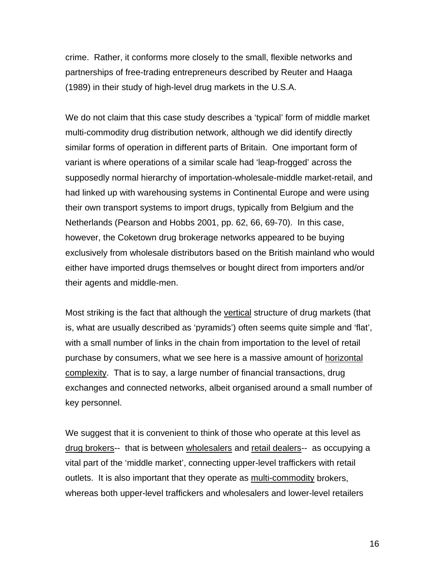crime. Rather, it conforms more closely to the small, flexible networks and partnerships of free-trading entrepreneurs described by Reuter and Haaga (1989) in their study of high-level drug markets in the U.S.A.

We do not claim that this case study describes a 'typical' form of middle market multi-commodity drug distribution network, although we did identify directly similar forms of operation in different parts of Britain. One important form of variant is where operations of a similar scale had 'leap-frogged' across the supposedly normal hierarchy of importation-wholesale-middle market-retail, and had linked up with warehousing systems in Continental Europe and were using their own transport systems to import drugs, typically from Belgium and the Netherlands (Pearson and Hobbs 2001, pp. 62, 66, 69-70). In this case, however, the Coketown drug brokerage networks appeared to be buying exclusively from wholesale distributors based on the British mainland who would either have imported drugs themselves or bought direct from importers and/or their agents and middle-men.

Most striking is the fact that although the vertical structure of drug markets (that is, what are usually described as 'pyramids') often seems quite simple and 'flat', with a small number of links in the chain from importation to the level of retail purchase by consumers, what we see here is a massive amount of horizontal complexity. That is to say, a large number of financial transactions, drug exchanges and connected networks, albeit organised around a small number of key personnel.

We suggest that it is convenient to think of those who operate at this level as drug brokers-- that is between wholesalers and retail dealers-- as occupying a vital part of the 'middle market', connecting upper-level traffickers with retail outlets. It is also important that they operate as multi-commodity brokers, whereas both upper-level traffickers and wholesalers and lower-level retailers

16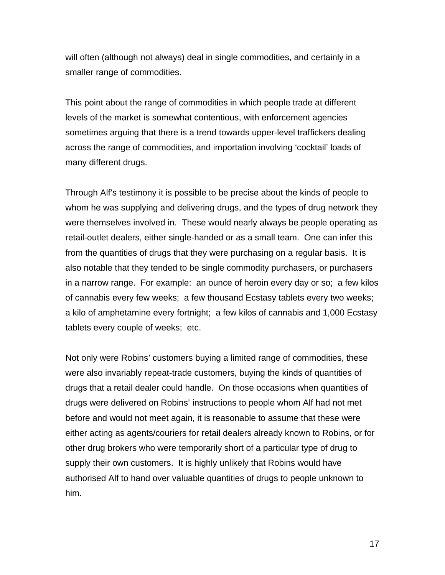will often (although not always) deal in single commodities, and certainly in a smaller range of commodities.

This point about the range of commodities in which people trade at different levels of the market is somewhat contentious, with enforcement agencies sometimes arguing that there is a trend towards upper-level traffickers dealing across the range of commodities, and importation involving 'cocktail' loads of many different drugs.

Through Alf's testimony it is possible to be precise about the kinds of people to whom he was supplying and delivering drugs, and the types of drug network they were themselves involved in. These would nearly always be people operating as retail-outlet dealers, either single-handed or as a small team. One can infer this from the quantities of drugs that they were purchasing on a regular basis. It is also notable that they tended to be single commodity purchasers, or purchasers in a narrow range. For example: an ounce of heroin every day or so; a few kilos of cannabis every few weeks; a few thousand Ecstasy tablets every two weeks; a kilo of amphetamine every fortnight; a few kilos of cannabis and 1,000 Ecstasy tablets every couple of weeks; etc.

Not only were Robins' customers buying a limited range of commodities, these were also invariably repeat-trade customers, buying the kinds of quantities of drugs that a retail dealer could handle. On those occasions when quantities of drugs were delivered on Robins' instructions to people whom Alf had not met before and would not meet again, it is reasonable to assume that these were either acting as agents/couriers for retail dealers already known to Robins, or for other drug brokers who were temporarily short of a particular type of drug to supply their own customers. It is highly unlikely that Robins would have authorised Alf to hand over valuable quantities of drugs to people unknown to him.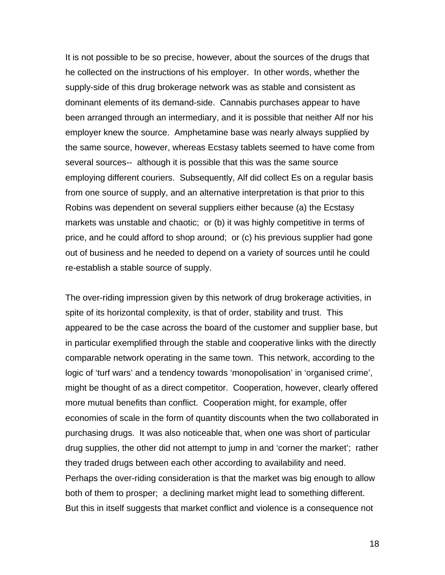It is not possible to be so precise, however, about the sources of the drugs that he collected on the instructions of his employer. In other words, whether the supply-side of this drug brokerage network was as stable and consistent as dominant elements of its demand-side. Cannabis purchases appear to have been arranged through an intermediary, and it is possible that neither Alf nor his employer knew the source. Amphetamine base was nearly always supplied by the same source, however, whereas Ecstasy tablets seemed to have come from several sources-- although it is possible that this was the same source employing different couriers. Subsequently, Alf did collect Es on a regular basis from one source of supply, and an alternative interpretation is that prior to this Robins was dependent on several suppliers either because (a) the Ecstasy markets was unstable and chaotic; or (b) it was highly competitive in terms of price, and he could afford to shop around; or (c) his previous supplier had gone out of business and he needed to depend on a variety of sources until he could re-establish a stable source of supply.

The over-riding impression given by this network of drug brokerage activities, in spite of its horizontal complexity, is that of order, stability and trust. This appeared to be the case across the board of the customer and supplier base, but in particular exemplified through the stable and cooperative links with the directly comparable network operating in the same town. This network, according to the logic of 'turf wars' and a tendency towards 'monopolisation' in 'organised crime', might be thought of as a direct competitor. Cooperation, however, clearly offered more mutual benefits than conflict. Cooperation might, for example, offer economies of scale in the form of quantity discounts when the two collaborated in purchasing drugs. It was also noticeable that, when one was short of particular drug supplies, the other did not attempt to jump in and 'corner the market'; rather they traded drugs between each other according to availability and need. Perhaps the over-riding consideration is that the market was big enough to allow both of them to prosper; a declining market might lead to something different. But this in itself suggests that market conflict and violence is a consequence not

18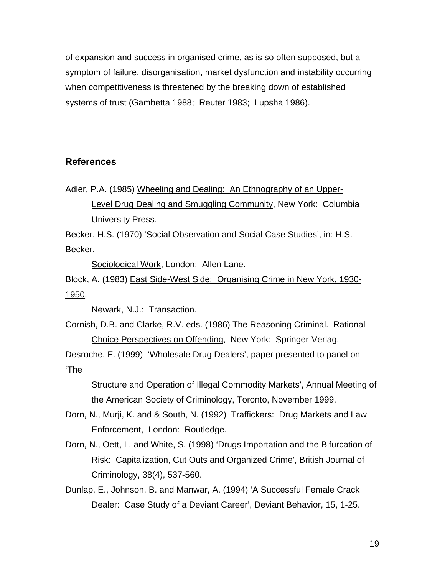of expansion and success in organised crime, as is so often supposed, but a symptom of failure, disorganisation, market dysfunction and instability occurring when competitiveness is threatened by the breaking down of established systems of trust (Gambetta 1988; Reuter 1983; Lupsha 1986).

#### **References**

Adler, P.A. (1985) Wheeling and Dealing: An Ethnography of an Upper-Level Drug Dealing and Smuggling Community, New York: Columbia University Press.

Becker, H.S. (1970) 'Social Observation and Social Case Studies', in: H.S. Becker,

Sociological Work, London: Allen Lane.

Block, A. (1983) East Side-West Side: Organising Crime in New York, 1930- 1950,

Newark, N.J.: Transaction.

Cornish, D.B. and Clarke, R.V. eds. (1986) The Reasoning Criminal. Rational Choice Perspectives on Offending, New York: Springer-Verlag.

Desroche, F. (1999) 'Wholesale Drug Dealers', paper presented to panel on 'The

Structure and Operation of Illegal Commodity Markets', Annual Meeting of the American Society of Criminology, Toronto, November 1999.

- Dorn, N., Murji, K. and & South, N. (1992) Traffickers: Drug Markets and Law Enforcement, London: Routledge.
- Dorn, N., Oett, L. and White, S. (1998) 'Drugs Importation and the Bifurcation of Risk: Capitalization, Cut Outs and Organized Crime', British Journal of Criminology, 38(4), 537-560.
- Dunlap, E., Johnson, B. and Manwar, A. (1994) 'A Successful Female Crack Dealer: Case Study of a Deviant Career', Deviant Behavior, 15, 1-25.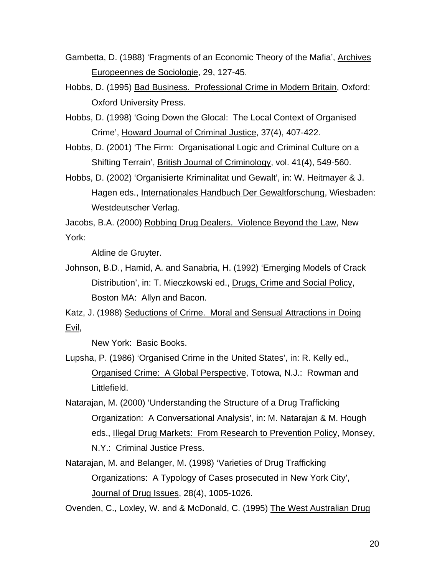- Gambetta, D. (1988) 'Fragments of an Economic Theory of the Mafia', Archives Europeennes de Sociologie, 29, 127-45.
- Hobbs, D. (1995) Bad Business. Professional Crime in Modern Britain, Oxford: Oxford University Press.
- Hobbs, D. (1998) 'Going Down the Glocal: The Local Context of Organised Crime', Howard Journal of Criminal Justice, 37(4), 407-422.
- Hobbs, D. (2001) 'The Firm: Organisational Logic and Criminal Culture on a Shifting Terrain', British Journal of Criminology, vol. 41(4), 549-560.
- Hobbs, D. (2002) 'Organisierte Kriminalitat und Gewalt', in: W. Heitmayer & J. Hagen eds., Internationales Handbuch Der Gewaltforschung, Wiesbaden: Westdeutscher Verlag.

Jacobs, B.A. (2000) Robbing Drug Dealers. Violence Beyond the Law, New York:

Aldine de Gruyter.

Johnson, B.D., Hamid, A. and Sanabria, H. (1992) 'Emerging Models of Crack Distribution', in: T. Mieczkowski ed., Drugs, Crime and Social Policy, Boston MA: Allyn and Bacon.

Katz, J. (1988) Seductions of Crime. Moral and Sensual Attractions in Doing Evil,

New York: Basic Books.

- Lupsha, P. (1986) 'Organised Crime in the United States', in: R. Kelly ed., Organised Crime: A Global Perspective, Totowa, N.J.: Rowman and Littlefield.
- Natarajan, M. (2000) 'Understanding the Structure of a Drug Trafficking Organization: A Conversational Analysis', in: M. Natarajan & M. Hough eds., Illegal Drug Markets: From Research to Prevention Policy, Monsey, N.Y.: Criminal Justice Press.
- Natarajan, M. and Belanger, M. (1998) 'Varieties of Drug Trafficking Organizations: A Typology of Cases prosecuted in New York City', Journal of Drug Issues, 28(4), 1005-1026.

Ovenden, C., Loxley, W. and & McDonald, C. (1995) The West Australian Drug